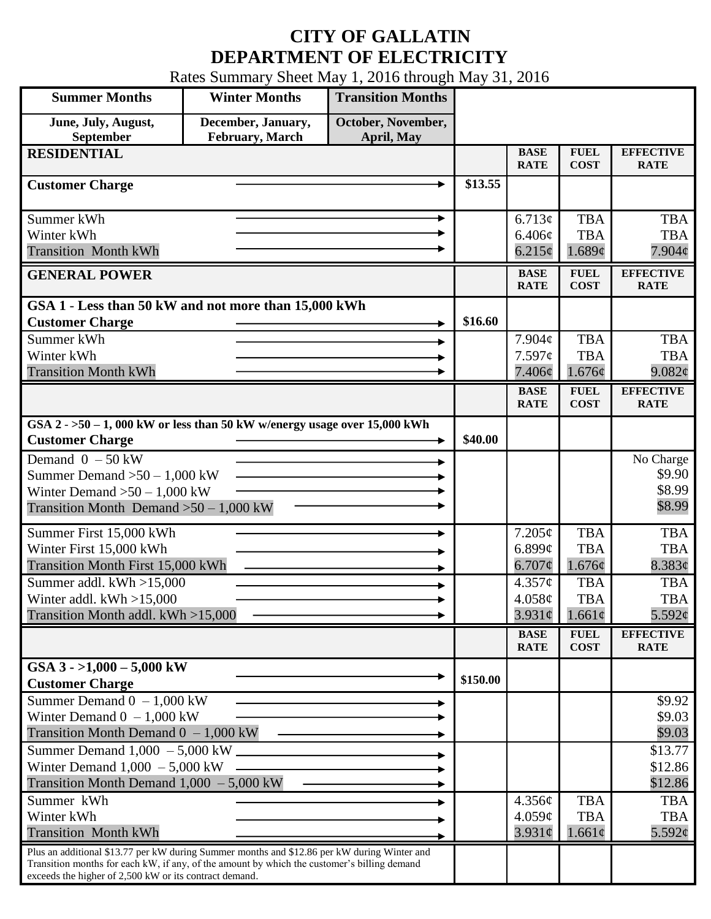## **CITY OF GALLATIN DEPARTMENT OF ELECTRICITY**

Rates Summary Sheet May 1, 2016 through May 31, 2016

| <b>Summer Months</b>                                                                                                                                                                                                                                 | <b>Winter Months</b>                  | <b>Transition Months</b>         |          |                                       |                                         |                                            |
|------------------------------------------------------------------------------------------------------------------------------------------------------------------------------------------------------------------------------------------------------|---------------------------------------|----------------------------------|----------|---------------------------------------|-----------------------------------------|--------------------------------------------|
| June, July, August,<br>September                                                                                                                                                                                                                     | December, January,<br>February, March | October, November,<br>April, May |          |                                       |                                         |                                            |
| <b>RESIDENTIAL</b>                                                                                                                                                                                                                                   |                                       |                                  |          | <b>BASE</b><br><b>RATE</b>            | <b>FUEL</b><br><b>COST</b>              | <b>EFFECTIVE</b><br><b>RATE</b>            |
| <b>Customer Charge</b>                                                                                                                                                                                                                               |                                       |                                  | \$13.55  |                                       |                                         |                                            |
| Summer kWh<br>Winter kWh<br><b>Transition Month kWh</b>                                                                                                                                                                                              |                                       |                                  |          | 6.713¢<br>6.406¢<br>$6.215\phi$       | <b>TBA</b><br><b>TBA</b><br>1.689¢      | <b>TBA</b><br><b>TBA</b><br>$7.904\phi$    |
| <b>GENERAL POWER</b>                                                                                                                                                                                                                                 |                                       |                                  |          | <b>BASE</b><br><b>RATE</b>            | <b>FUEL</b><br><b>COST</b>              | <b>EFFECTIVE</b><br><b>RATE</b>            |
| GSA 1 - Less than 50 kW and not more than 15,000 kWh<br><b>Customer Charge</b><br>Summer kWh                                                                                                                                                         |                                       |                                  | \$16.60  | 7.904c                                | <b>TBA</b>                              | <b>TBA</b>                                 |
| Winter kWh<br><b>Transition Month kWh</b>                                                                                                                                                                                                            |                                       |                                  |          | 7.597c<br>7.406¢                      | <b>TBA</b><br>1.676¢                    | <b>TBA</b><br>9.082¢                       |
|                                                                                                                                                                                                                                                      |                                       |                                  |          | <b>BASE</b><br><b>RATE</b>            | <b>FUEL</b><br><b>COST</b>              | <b>EFFECTIVE</b><br><b>RATE</b>            |
| GSA $2 - 50 - 1$ , 000 kW or less than 50 kW w/energy usage over 15,000 kWh<br><b>Customer Charge</b>                                                                                                                                                |                                       |                                  | \$40.00  |                                       |                                         |                                            |
| Demand $0 - 50$ kW<br>Summer Demand $>50 - 1,000$ kW<br>Winter Demand $>50 - 1,000$ kW<br>Transition Month Demand $>50-1,000$ kW                                                                                                                     |                                       |                                  |          |                                       |                                         | No Charge<br>\$9.90<br>\$8.99<br>\$8.99    |
| Summer First 15,000 kWh<br>Winter First 15,000 kWh<br>Transition Month First 15,000 kWh                                                                                                                                                              |                                       |                                  |          | 7.205¢<br>6.899 $\phi$<br>$6.707\phi$ | <b>TBA</b><br><b>TBA</b><br>1.676¢      | <b>TBA</b><br><b>TBA</b><br>8.383¢         |
| Summer addl. $kWh > 15,000$<br>Winter addl. $kWh > 15,000$<br>Transition Month addl. kWh >15,000                                                                                                                                                     |                                       |                                  |          | 4.357¢<br>4.058¢<br>$3.931\phi$       | <b>TBA</b><br><b>TBA</b><br>$1.661\phi$ | <b>TBA</b><br><b>TBA</b><br>5.592 $\phi$   |
|                                                                                                                                                                                                                                                      |                                       |                                  |          | <b>BASE</b><br><b>RATE</b>            | <b>FUEL</b><br><b>COST</b>              | <b>EFFECTIVE</b><br><b>RATE</b>            |
| GSA $3 - 1,000 - 5,000$ kW<br><b>Customer Charge</b>                                                                                                                                                                                                 |                                       |                                  | \$150.00 |                                       |                                         |                                            |
| Summer Demand $0 - 1,000$ kW<br>Winter Demand $0 - 1,000$ kW<br>Transition Month Demand $0 - 1,000$ kW                                                                                                                                               |                                       |                                  |          |                                       |                                         | \$9.92<br>\$9.03<br>\$9.03                 |
| Summer Demand $1,000 - 5,000$ kW $\overline{\phantom{a}}$<br>Winter Demand $1,000 - 5,000$ kW<br>Transition Month Demand $1,000 - 5,000$ kW                                                                                                          |                                       |                                  |          |                                       |                                         | \$13.77<br>\$12.86<br>\$12.86              |
| Summer kWh<br>Winter kWh<br><b>Transition Month kWh</b>                                                                                                                                                                                              |                                       |                                  |          | 4.356¢<br>4.059¢<br>$3.931\phi$       | <b>TBA</b><br><b>TBA</b><br>1.661¢      | <b>TBA</b><br><b>TBA</b><br>$5.592\varphi$ |
| Plus an additional \$13.77 per kW during Summer months and \$12.86 per kW during Winter and<br>Transition months for each kW, if any, of the amount by which the customer's billing demand<br>exceeds the higher of 2,500 kW or its contract demand. |                                       |                                  |          |                                       |                                         |                                            |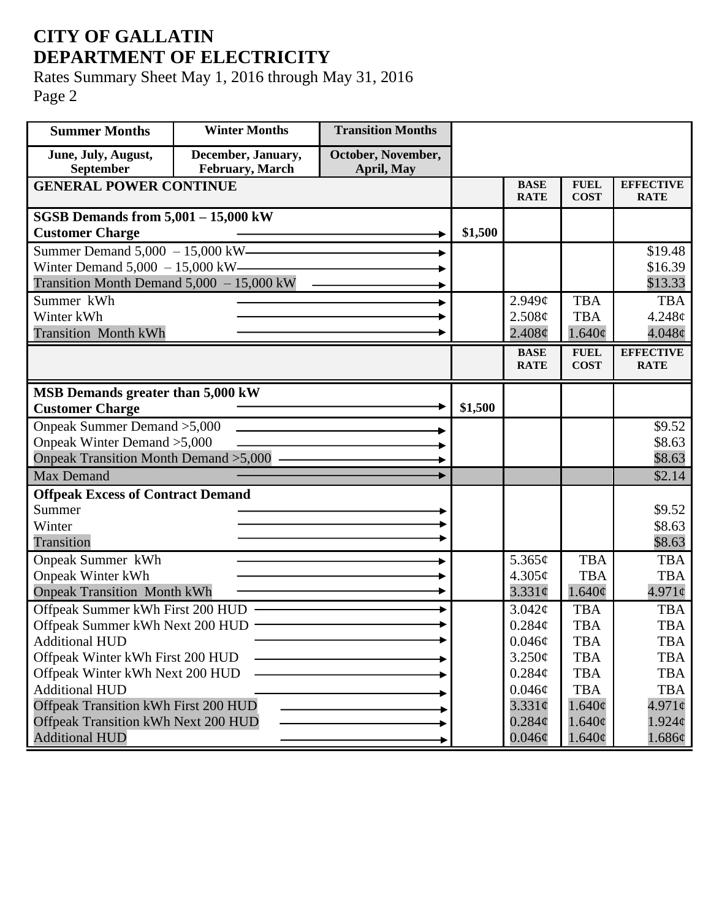## **CITY OF GALLATIN DEPARTMENT OF ELECTRICITY**

Rates Summary Sheet May 1, 2016 through May 31, 2016 Page 2

| <b>Summer Months</b>                        | <b>Winter Months</b> | <b>Transition Months</b> |         |                            |                            |                                 |
|---------------------------------------------|----------------------|--------------------------|---------|----------------------------|----------------------------|---------------------------------|
| June, July, August,                         | December, January,   | October, November,       |         |                            |                            |                                 |
| September                                   | February, March      | April, May               |         |                            |                            |                                 |
| <b>GENERAL POWER CONTINUE</b>               |                      |                          |         | <b>BASE</b><br><b>RATE</b> | <b>FUEL</b><br><b>COST</b> | <b>EFFECTIVE</b><br><b>RATE</b> |
| <b>SGSB Demands from 5,001 - 15,000 kW</b>  |                      |                          |         |                            |                            |                                 |
| <b>Customer Charge</b>                      |                      |                          | \$1,500 |                            |                            |                                 |
| Summer Demand 5,000 - 15,000 kW————         |                      |                          |         |                            |                            | \$19.48                         |
| Winter Demand $5,000 - 15,000$ kW-          |                      |                          |         |                            |                            | \$16.39                         |
| Transition Month Demand $5,000 - 15,000$ kW |                      |                          |         |                            |                            | \$13.33                         |
| Summer kWh                                  |                      |                          |         | $2.949\mathcal{C}$         | <b>TBA</b>                 | <b>TBA</b>                      |
| Winter kWh                                  |                      |                          |         | 2.508¢                     | <b>TBA</b>                 | 4.248¢                          |
| <b>Transition Month kWh</b>                 |                      |                          |         | $2.408\phi$                | $1.640\phi$                | $4.048\phi$                     |
|                                             |                      |                          |         | <b>BASE</b>                | <b>FUEL</b>                | <b>EFFECTIVE</b>                |
|                                             |                      |                          |         | <b>RATE</b>                | <b>COST</b>                | <b>RATE</b>                     |
| MSB Demands greater than 5,000 kW           |                      |                          |         |                            |                            |                                 |
| <b>Customer Charge</b>                      |                      |                          | \$1,500 |                            |                            |                                 |
| Onpeak Summer Demand > 5,000                |                      |                          |         |                            |                            | \$9.52                          |
| Onpeak Winter Demand > 5,000                |                      |                          |         |                            |                            | \$8.63                          |
| Onpeak Transition Month Demand > 5,000 -    |                      |                          |         |                            |                            | \$8.63                          |
| <b>Max Demand</b>                           |                      |                          |         |                            |                            | \$2.14                          |
| <b>Offpeak Excess of Contract Demand</b>    |                      |                          |         |                            |                            |                                 |
| Summer                                      |                      |                          |         |                            |                            | \$9.52                          |
| Winter                                      |                      |                          |         |                            |                            | \$8.63                          |
| Transition                                  |                      |                          |         |                            |                            | \$8.63                          |
| <b>Onpeak Summer kWh</b>                    |                      |                          |         | 5.365¢                     | <b>TBA</b>                 | <b>TBA</b>                      |
| <b>Onpeak Winter kWh</b>                    |                      |                          |         | 4.305¢                     | <b>TBA</b>                 | <b>TBA</b>                      |
| <b>Onpeak Transition Month kWh</b>          |                      |                          |         | $3.331\phi$                | 1.640¢                     | $4.971\circ$                    |
| Offpeak Summer kWh First 200 HUD            |                      |                          |         | $3.042\mathcal{C}$         | <b>TBA</b>                 | <b>TBA</b>                      |
| Offpeak Summer kWh Next 200 HUD             |                      |                          |         | $0.284\mathcal{C}$         | <b>TBA</b>                 | <b>TBA</b>                      |
| <b>Additional HUD</b>                       |                      |                          |         | $0.046\phi$                | TBA                        | TBA                             |
| Offpeak Winter kWh First 200 HUD            |                      |                          |         | 3.250¢                     | <b>TBA</b>                 | <b>TBA</b>                      |
| Offpeak Winter kWh Next 200 HUD             |                      |                          |         | $0.284\phi$                | <b>TBA</b>                 | <b>TBA</b>                      |
| <b>Additional HUD</b>                       |                      |                          |         | 0.046¢                     | <b>TBA</b>                 | <b>TBA</b>                      |
| Offpeak Transition kWh First 200 HUD        |                      |                          |         | $3.331\phi$                | 1.640¢                     | $4.971\phi$                     |
| <b>Offpeak Transition kWh Next 200 HUD</b>  |                      |                          |         | $0.284\phi$                | $1.640\phi$                | $1.924\phi$                     |
| <b>Additional HUD</b>                       |                      |                          |         | $0.046\phi$                | $1.640\phi$                | 1.686¢                          |